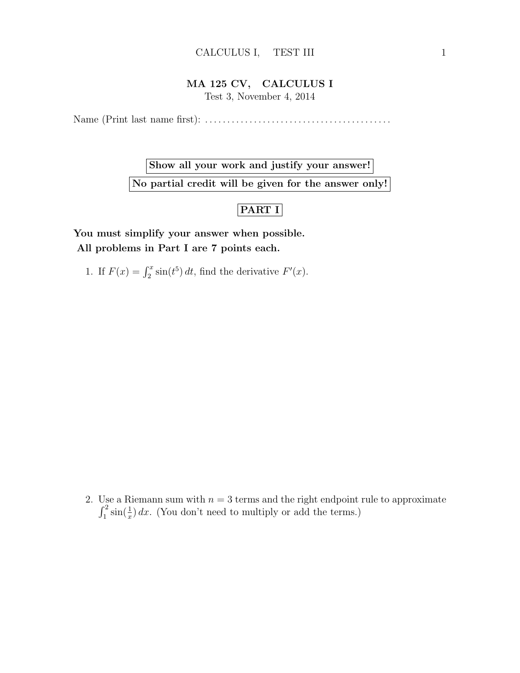### MA 125 CV, CALCULUS I

Test 3, November 4, 2014

Name (Print last name first): . . . . . . . . . . . . . . . . . . . . . . . . . . . . . . . . . . . . . . . . . .

Show all your work and justify your answer! No partial credit will be given for the answer only!

## PART I

You must simplify your answer when possible. All problems in Part I are 7 points each.

1. If  $F(x) = \int_2^x \sin(t^5) dt$ , find the derivative  $F'(x)$ .

2. Use a Riemann sum with  $n = 3$  terms and the right endpoint rule to approximate  $\int_1^2 \sin(\frac{1}{x}) dx$ . (You don't need to multiply or add the terms.)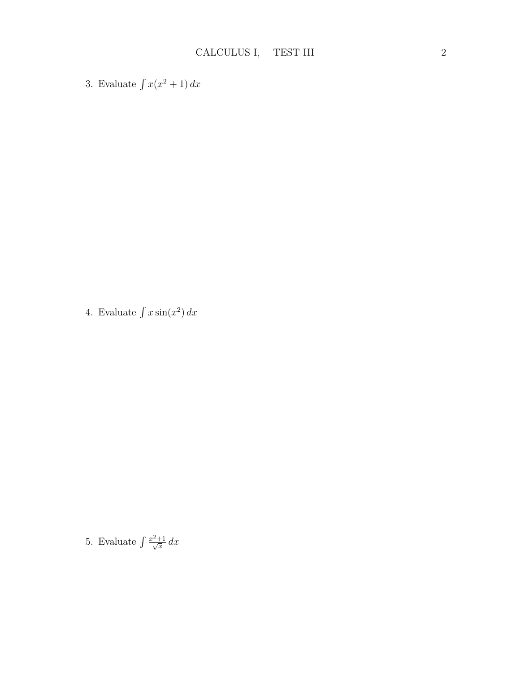3. Evaluate  $\int x(x^2 + 1) dx$ 

4. Evaluate  $\int x \sin(x^2) dx$ 

5. Evaluate  $\int \frac{x^2+1}{\sqrt{x}}$  $rac{\pm 1}{x} dx$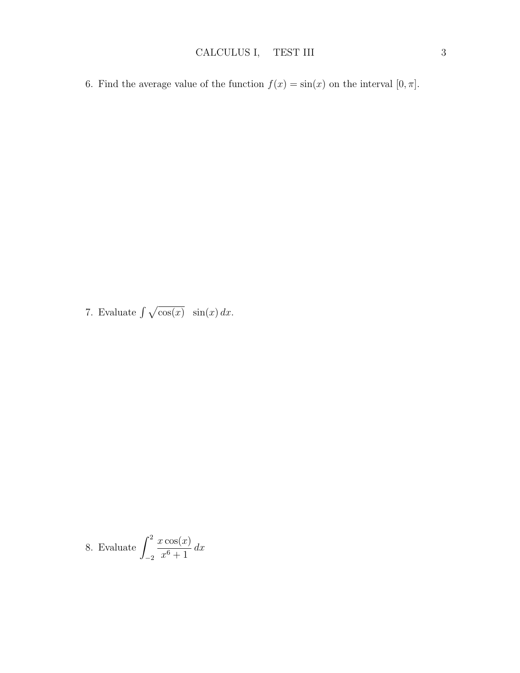6. Find the average value of the function  $f(x) = \sin(x)$  on the interval  $[0, \pi]$ .

7. Evaluate  $\int \sqrt{\cos(x)} \sin(x) dx$ .

8. Evaluate 
$$
\int_{-2}^{2} \frac{x \cos(x)}{x^6 + 1} dx
$$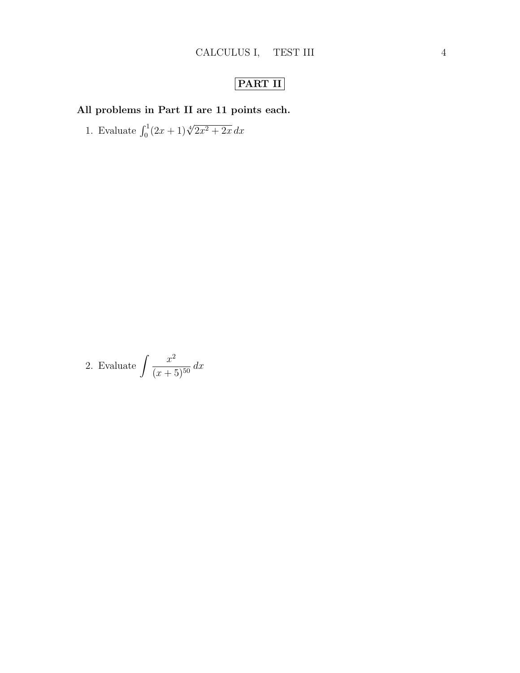# PART II

# All problems in Part II are 11 points each.

1. Evaluate  $\int_0^1 (2x+1)\sqrt[4]{2x^2+2x} dx$ 

2. Evaluate 
$$
\int \frac{x^2}{(x+5)^{50}} dx
$$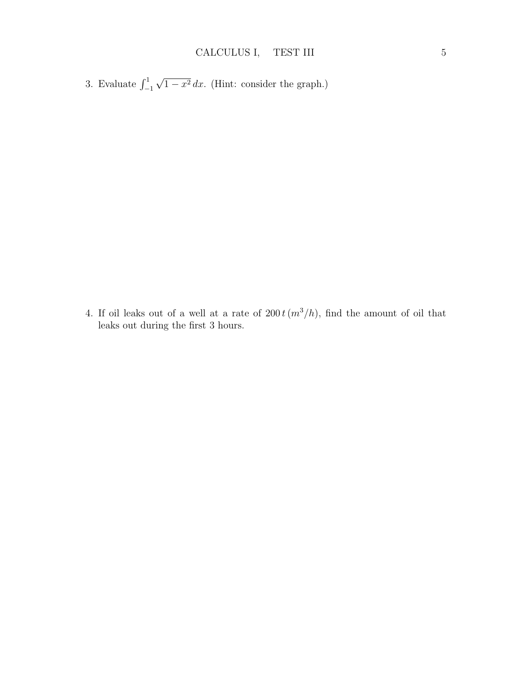3. Evaluate  $\int_{-1}^{1}$ √  $1 - x^2 dx$ . (Hint: consider the graph.)

4. If oil leaks out of a well at a rate of  $200 t(m^3/h)$ , find the amount of oil that leaks out during the first 3 hours.